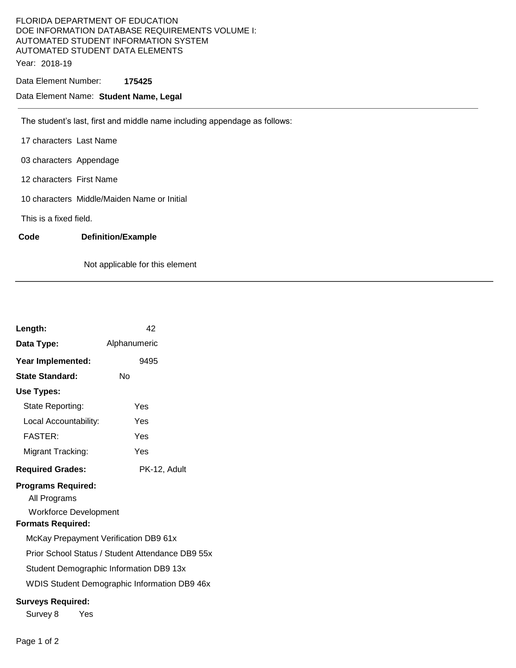### FLORIDA DEPARTMENT OF EDUCATION DOE INFORMATION DATABASE REQUIREMENTS VOLUME I: AUTOMATED STUDENT INFORMATION SYSTEM AUTOMATED STUDENT DATA ELEMENTS Year: 2018-19

Data Element Number: **175425** 

### Data Element Name: **Student Name, Legal**

The student's last, first and middle name including appendage as follows:

17 characters Last Name

03 characters Appendage

12 characters First Name

10 characters Middle/Maiden Name or Initial

This is a fixed field.

#### **Code Definition/Example**

Not applicable for this element

| Length:                                                                   | 42           |  |
|---------------------------------------------------------------------------|--------------|--|
| Data Type:                                                                | Alphanumeric |  |
| Year Implemented:                                                         | 9495         |  |
| <b>State Standard:</b>                                                    | Nο           |  |
| Use Types:                                                                |              |  |
| State Reporting:                                                          | Yes          |  |
| Local Accountability:                                                     | Yes          |  |
| <b>FASTER:</b>                                                            | Yes          |  |
| Migrant Tracking:                                                         | Yes          |  |
| <b>Required Grades:</b>                                                   | PK-12, Adult |  |
| <b>Programs Required:</b><br>All Programs<br><b>Workforce Development</b> |              |  |
| <b>Formats Required:</b>                                                  |              |  |
| McKay Prepayment Verification DB9 61x                                     |              |  |
| Prior School Status / Student Attendance DB9 55x                          |              |  |
| Student Demographic Information DB9 13x                                   |              |  |
| WDIS Student Demographic Information DB9 46x                              |              |  |
| <b>Surveys Required:</b>                                                  |              |  |
| Survey 8<br>Yes                                                           |              |  |